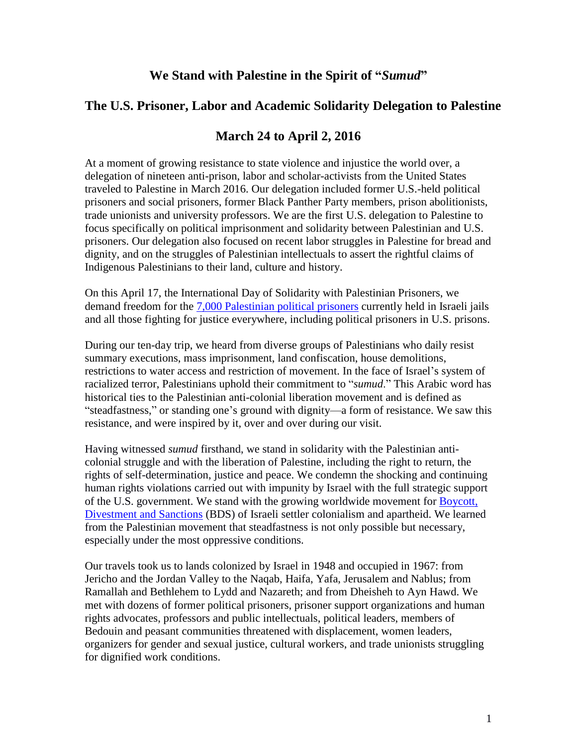# **We Stand with Palestine in the Spirit of "***Sumud***"**

# **The U.S. Prisoner, Labor and Academic Solidarity Delegation to Palestine**

# **March 24 to April 2, 2016**

At a moment of growing resistance to state violence and injustice the world over, a delegation of nineteen anti-prison, labor and scholar-activists from the United States traveled to Palestine in March 2016. Our delegation included former U.S.-held political prisoners and social prisoners, former Black Panther Party members, prison abolitionists, trade unionists and university professors. We are the first U.S. delegation to Palestine to focus specifically on political imprisonment and solidarity between Palestinian and U.S. prisoners. Our delegation also focused on recent labor struggles in Palestine for bread and dignity, and on the struggles of Palestinian intellectuals to assert the rightful claims of Indigenous Palestinians to their land, culture and history.

On this April 17, the International Day of Solidarity with Palestinian Prisoners, we demand freedom for the 7,000 [Palestinian](http://www.addameer.org/statistics) political prisoners currently held in Israeli jails and all those fighting for justice everywhere, including political prisoners in U.S. prisons.

During our ten-day trip, we heard from diverse groups of Palestinians who daily resist summary executions, mass imprisonment, land confiscation, house demolitions, restrictions to water access and restriction of movement. In the face of Israel's system of racialized terror, Palestinians uphold their commitment to "*sumud*." This Arabic word has historical ties to the Palestinian anti-colonial liberation movement and is defined as "steadfastness," or standing one's ground with dignity—a form of resistance. We saw this resistance, and were inspired by it, over and over during our visit.

Having witnessed *sumud* firsthand, we stand in solidarity with the Palestinian anticolonial struggle and with the liberation of Palestine, including the right to return, the rights of self-determination, justice and peace. We condemn the shocking and continuing human rights violations carried out with impunity by Israel with the full strategic support of the U.S. government. We stand with the growing worldwide movement for [Boycott,](https://bdsmovement.net/) [Divestment](https://bdsmovement.net/) and Sanctions (BDS) of Israeli settler colonialism and apartheid. We learned from the Palestinian movement that steadfastness is not only possible but necessary, especially under the most oppressive conditions.

Our travels took us to lands colonized by Israel in 1948 and occupied in 1967: from Jericho and the Jordan Valley to the Naqab, Haifa, Yafa, Jerusalem and Nablus; from Ramallah and Bethlehem to Lydd and Nazareth; and from Dheisheh to Ayn Hawd. We met with dozens of former political prisoners, prisoner support organizations and human rights advocates, professors and public intellectuals, political leaders, members of Bedouin and peasant communities threatened with displacement, women leaders, organizers for gender and sexual justice, cultural workers, and trade unionists struggling for dignified work conditions.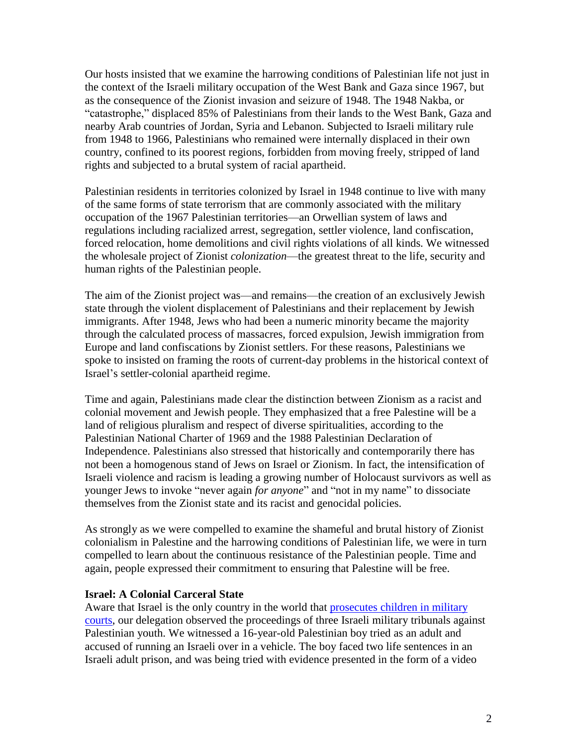Our hosts insisted that we examine the harrowing conditions of Palestinian life not just in the context of the Israeli military occupation of the West Bank and Gaza since 1967, but as the consequence of the Zionist invasion and seizure of 1948. The 1948 Nakba, or "catastrophe," displaced 85% of Palestinians from their lands to the West Bank, Gaza and nearby Arab countries of Jordan, Syria and Lebanon. Subjected to Israeli military rule from 1948 to 1966, Palestinians who remained were internally displaced in their own country, confined to its poorest regions, forbidden from moving freely, stripped of land rights and subjected to a brutal system of racial apartheid.

Palestinian residents in territories colonized by Israel in 1948 continue to live with many of the same forms of state terrorism that are commonly associated with the military occupation of the 1967 Palestinian territories—an Orwellian system of laws and regulations including racialized arrest, segregation, settler violence, land confiscation, forced relocation, home demolitions and civil rights violations of all kinds. We witnessed the wholesale project of Zionist *colonization*—the greatest threat to the life, security and human rights of the Palestinian people.

The aim of the Zionist project was—and remains—the creation of an exclusively Jewish state through the violent displacement of Palestinians and their replacement by Jewish immigrants. After 1948, Jews who had been a numeric minority became the majority through the calculated process of massacres, forced expulsion, Jewish immigration from Europe and land confiscations by Zionist settlers. For these reasons, Palestinians we spoke to insisted on framing the roots of current-day problems in the historical context of Israel's settler-colonial apartheid regime.

Time and again, Palestinians made clear the distinction between Zionism as a racist and colonial movement and Jewish people. They emphasized that a free Palestine will be a land of religious pluralism and respect of diverse spiritualities, according to the Palestinian National Charter of 1969 and the 1988 Palestinian Declaration of Independence. Palestinians also stressed that historically and contemporarily there has not been a homogenous stand of Jews on Israel or Zionism. In fact, the intensification of Israeli violence and racism is leading a growing number of Holocaust survivors as well as younger Jews to invoke "never again *for anyone*" and "not in my name" to dissociate themselves from the Zionist state and its racist and genocidal policies.

As strongly as we were compelled to examine the shameful and brutal history of Zionist colonialism in Palestine and the harrowing conditions of Palestinian life, we were in turn compelled to learn about the continuous resistance of the Palestinian people. Time and again, people expressed their commitment to ensuring that Palestine will be free.

#### **Israel: A Colonial Carceral State**

Aware that Israel is the only country in the world that [prosecutes](http://www.dci-palestine.org/issues_military_detention) children in military [courts,](http://www.dci-palestine.org/issues_military_detention) our delegation observed the proceedings of three Israeli military tribunals against Palestinian youth. We witnessed a 16-year-old Palestinian boy tried as an adult and accused of running an Israeli over in a vehicle. The boy faced two life sentences in an Israeli adult prison, and was being tried with evidence presented in the form of a video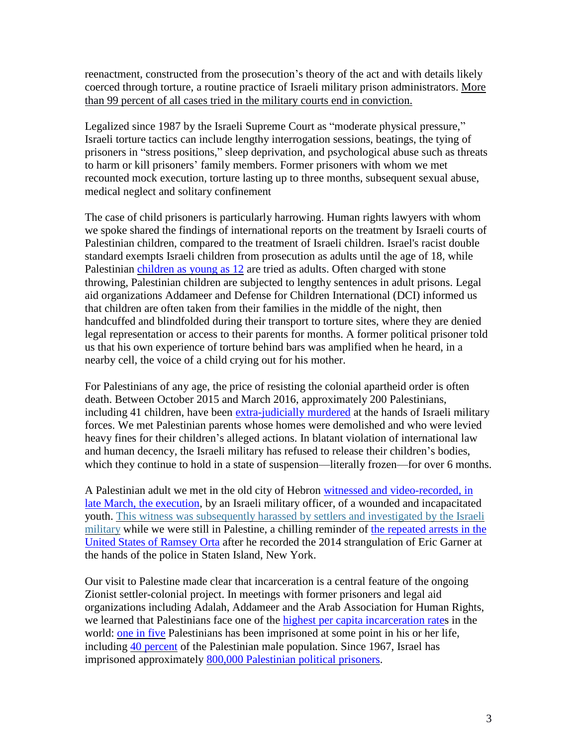reenactment, constructed from the prosecution's theory of the act and with details likely coerced through torture, a routine practice of Israeli military prison administrators. [More](http://www.maannews.com/Content.aspx?id=440537) than 99 percent of all cases tried in the military courts end in [conviction.](http://www.maannews.com/Content.aspx?id=440537)

Legalized since 1987 by the Israeli Supreme Court as "moderate physical pressure," Israeli torture tactics can include lengthy interrogation sessions, beatings, the tying of prisoners in "stress positions," sleep deprivation, and psychological abuse such as threats to harm or kill prisoners' family members. Former prisoners with whom we met recounted mock execution, torture lasting up to three months, subsequent sexual abuse, medical neglect and solitary confinement

The case of child prisoners is particularly harrowing. Human rights lawyers with whom we spoke shared the findings of international reports on the treatment by Israeli courts of Palestinian children, compared to the treatment of Israeli children. Israel's racist double standard exempts Israeli children from prosecution as adults until the age of 18, while Palestinian [children](http://www.addameer.org/the_prisoners/children) as young as 12 are tried as adults. Often charged with stone throwing, Palestinian children are subjected to lengthy sentences in adult prisons. Legal aid organizations Addameer and Defense for Children International (DCI) informed us that children are often taken from their families in the middle of the night, then handcuffed and blindfolded during their transport to torture sites, where they are denied legal representation or access to their parents for months. A former political prisoner told us that his own experience of torture behind bars was amplified when he heard, in a nearby cell, the voice of a child crying out for his mother.

For Palestinians of any age, the price of resisting the colonial apartheid order is often death. Between October 2015 and March 2016, approximately 200 Palestinians, including 41 children, have been [extra-judicially](http://www.dci-palestine.org/forty_one_palestinian_children_killed_as_period_of_violence_enters_sixth_month) murdered at the hands of Israeli military forces. We met Palestinian parents whose homes were demolished and who were levied heavy fines for their children's alleged actions. In blatant violation of international law and human decency, the Israeli military has refused to release their children's bodies, which they continue to hold in a state of suspension—literally frozen—for over 6 months.

A Palestinian adult we met in the old city of Hebron witnessed and [video-recorded,](https://www.amnesty.org/en/press-releases/2016/03/israel-suspected-extrajudicial-execution-of-palestinian-caught-on-video/) in late March, the [execution,](https://www.amnesty.org/en/press-releases/2016/03/israel-suspected-extrajudicial-execution-of-palestinian-caught-on-video/) by an Israeli military officer, of a wounded and incapacitated youth. This witness was [subsequently](http://www.al-monitor.com/pulse/originals/2016/04/btselem-cameraman-palestinian-hebron-idf-shooting-settlers.html) harassed by settlers and investigated by the Israeli [military](http://www.al-monitor.com/pulse/originals/2016/04/btselem-cameraman-palestinian-hebron-idf-shooting-settlers.html) while we were still in Palestine, a chilling reminder of the [repeated](http://www.democracynow.org/2016/1/12/why_is_ramsey_orta_man_who) arrests in the United States of [Ramsey](http://www.democracynow.org/2016/1/12/why_is_ramsey_orta_man_who) Orta after he recorded the 2014 strangulation of Eric Garner at the hands of the police in Staten Island, New York.

Our visit to Palestine made clear that incarceration is a central feature of the ongoing Zionist settler-colonial project. In meetings with former prisoners and legal aid organizations including Adalah, Addameer and the Arab Association for Human Rights, we learned that Palestinians face one of the highest per capita [incarceration](https://www.prisonlegalnews.org/news/2004/feb/15/palestinian-child-political-prisoners-detained-by-israel/) rates in the world: one in [five](http://www.addameer.org/advocacy/briefings_papers/general-briefing-palestinian-political-prisoners-israeli-prisons) Palestinians has been imprisoned at some point in his or her life, including 40 [percent](http://www.addameer.org/advocacy/briefings_papers/general-briefing-palestinian-political-prisoners-israeli-prisons) of the Palestinian male population. Since 1967, Israel has imprisoned approximately 800,000 [Palestinian](http://www.addameer.org/advocacy/briefings_papers/general-briefing-palestinian-political-prisoners-israeli-prisons) political prisoners.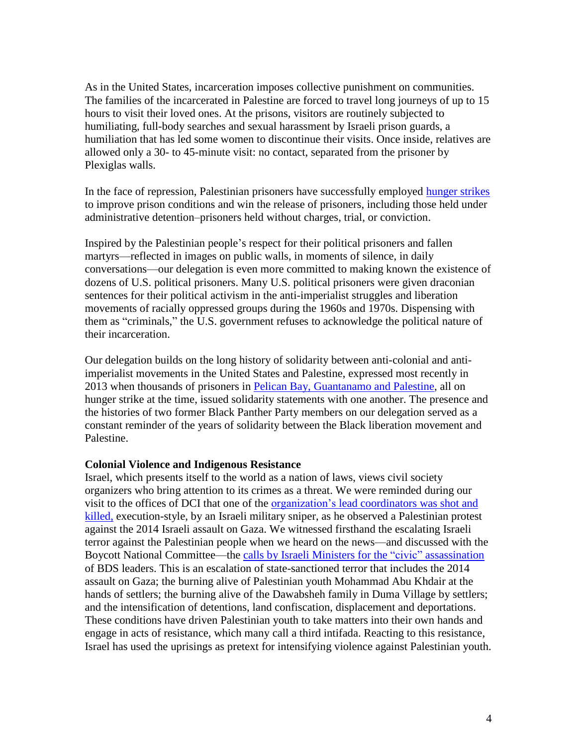As in the United States, incarceration imposes collective punishment on communities. The families of the incarcerated in Palestine are forced to travel long journeys of up to 15 hours to visit their loved ones. At the prisons, visitors are routinely subjected to humiliating, full-body searches and sexual harassment by Israeli prison guards, a humiliation that has led some women to discontinue their visits. Once inside, relatives are allowed only a 30- to 45-minute visit: no contact, separated from the prisoner by Plexiglas walls.

In the face of repression, Palestinian prisoners have successfully employed [hunger](https://electronicintifada.net/tags/hunger-strike) strikes to improve prison conditions and win the release of prisoners, including those held under administrative detention–prisoners held without charges, trial, or conviction.

Inspired by the Palestinian people's respect for their political prisoners and fallen martyrs—reflected in images on public walls, in moments of silence, in daily conversations—our delegation is even more committed to making known the existence of dozens of U.S. political prisoners. Many U.S. political prisoners were given draconian sentences for their political activism in the anti-imperialist struggles and liberation movements of racially oppressed groups during the 1960s and 1970s. Dispensing with them as "criminals," the U.S. government refuses to acknowledge the political nature of their incarceration.

Our delegation builds on the long history of solidarity between anti-colonial and antiimperialist movements in the United States and Palestine, expressed most recently in 2013 when thousands of prisoners in Pelican Bay, [Guantanamo](https://www.facebook.com/events/155689014612698/) and Palestine, all on hunger strike at the time, issued solidarity statements with one another. The presence and the histories of two former Black Panther Party members on our delegation served as a constant reminder of the years of solidarity between the Black liberation movement and Palestine.

#### **Colonial Violence and Indigenous Resistance**

Israel, which presents itself to the world as a nation of laws, views civil society organizers who bring attention to its crimes as a threat. We were reminded during our visit to the offices of DCI that one of the [organization's](https://electronicintifada.net/blogs/nora-barrows-friedman/human-rights-defender-among-three-palestinians-killed-live-fire-west) lead coordinators was shot and [killed,](https://electronicintifada.net/blogs/nora-barrows-friedman/human-rights-defender-among-three-palestinians-killed-live-fire-west) execution-style, by an Israeli military sniper, as he observed a Palestinian protest against the 2014 Israeli assault on Gaza. We witnessed firsthand the escalating Israeli terror against the Palestinian people when we heard on the news—and discussed with the Boycott National Committee—the calls by Israeli Ministers for the "civic" [assassination](http://mondoweiss.net/2016/04/palestinian-reflections-on-israels-hysterical-attack-on-bds/) of BDS leaders. This is an escalation of state-sanctioned terror that includes the 2014 assault on Gaza; the burning alive of Palestinian youth Mohammad Abu Khdair at the hands of settlers; the burning alive of the Dawabsheh family in Duma Village by settlers; and the intensification of detentions, land confiscation, displacement and deportations. These conditions have driven Palestinian youth to take matters into their own hands and engage in acts of resistance, which many call a third intifada. Reacting to this resistance, Israel has used the uprisings as pretext for intensifying violence against Palestinian youth.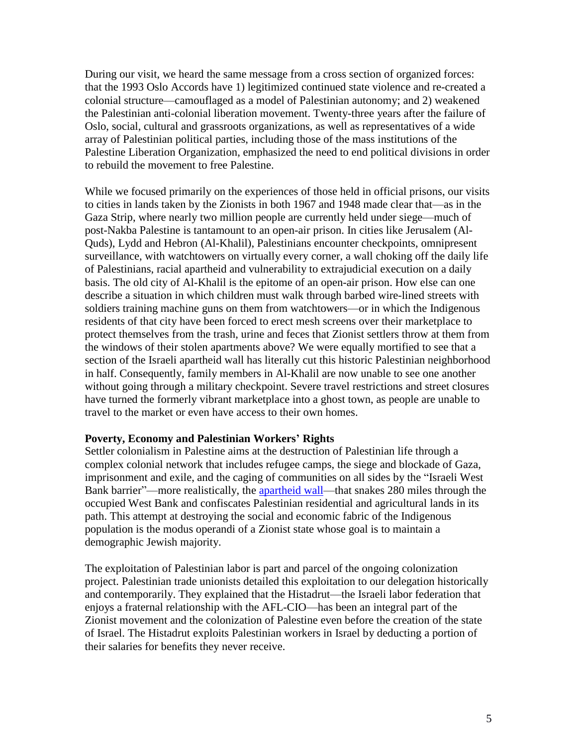During our visit, we heard the same message from a cross section of organized forces: that the 1993 Oslo Accords have 1) legitimized continued state violence and re-created a colonial structure—camouflaged as a model of Palestinian autonomy; and 2) weakened the Palestinian anti-colonial liberation movement. Twenty-three years after the failure of Oslo, social, cultural and grassroots organizations, as well as representatives of a wide array of Palestinian political parties, including those of the mass institutions of the Palestine Liberation Organization, emphasized the need to end political divisions in order to rebuild the movement to free Palestine.

While we focused primarily on the experiences of those held in official prisons, our visits to cities in lands taken by the Zionists in both 1967 and 1948 made clear that—as in the Gaza Strip, where nearly two million people are currently held under siege—much of post-Nakba Palestine is tantamount to an open-air prison. In cities like Jerusalem (Al-Quds), Lydd and Hebron (Al-Khalil), Palestinians encounter checkpoints, omnipresent surveillance, with watchtowers on virtually every corner, a wall choking off the daily life of Palestinians, racial apartheid and vulnerability to extrajudicial execution on a daily basis. The old city of Al-Khalil is the epitome of an open-air prison. How else can one describe a situation in which children must walk through barbed wire-lined streets with soldiers training machine guns on them from watchtowers—or in which the Indigenous residents of that city have been forced to erect mesh screens over their marketplace to protect themselves from the trash, urine and feces that Zionist settlers throw at them from the windows of their stolen apartments above? We were equally mortified to see that a section of the Israeli apartheid wall has literally cut this historic Palestinian neighborhood in half. Consequently, family members in Al-Khalil are now unable to see one another without going through a military checkpoint. Severe travel restrictions and street closures have turned the formerly vibrant marketplace into a ghost town, as people are unable to travel to the market or even have access to their own homes.

## **Poverty, Economy and Palestinian Workers' Rights**

Settler colonialism in Palestine aims at the destruction of Palestinian life through a complex colonial network that includes refugee camps, the siege and blockade of Gaza, imprisonment and exile, and the caging of communities on all sides by the "Israeli West Bank barrier"—more realistically, the [apartheid](http://www.stopthewall.org/the-wall) wall—that snakes 280 miles through the occupied West Bank and confiscates Palestinian residential and agricultural lands in its path. This attempt at destroying the social and economic fabric of the Indigenous population is the modus operandi of a Zionist state whose goal is to maintain a demographic Jewish majority.

The exploitation of Palestinian labor is part and parcel of the ongoing colonization project. Palestinian trade unionists detailed this exploitation to our delegation historically and contemporarily. They explained that the Histadrut—the Israeli labor federation that enjoys a fraternal relationship with the AFL-CIO—has been an integral part of the Zionist movement and the colonization of Palestine even before the creation of the state of Israel. The Histadrut exploits Palestinian workers in Israel by deducting a portion of their salaries for benefits they never receive.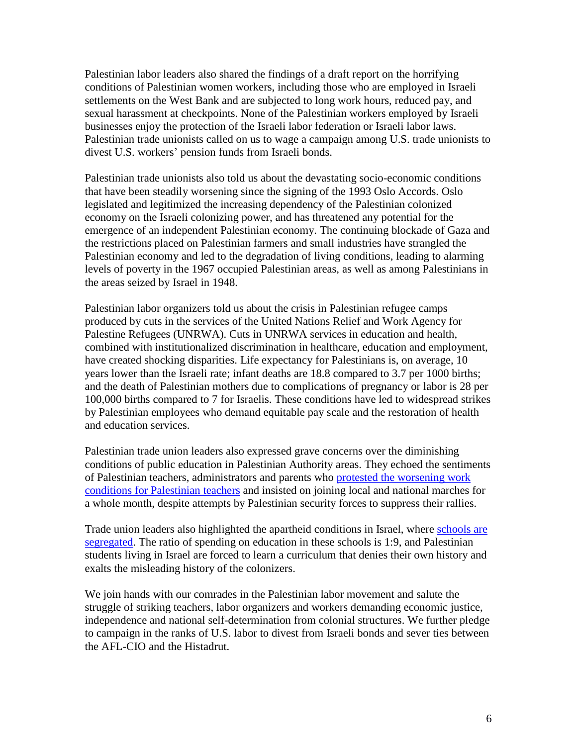Palestinian labor leaders also shared the findings of a draft report on the horrifying conditions of Palestinian women workers, including those who are employed in Israeli settlements on the West Bank and are subjected to long work hours, reduced pay, and sexual harassment at checkpoints. None of the Palestinian workers employed by Israeli businesses enjoy the protection of the Israeli labor federation or Israeli labor laws. Palestinian trade unionists called on us to wage a campaign among U.S. trade unionists to divest U.S. workers' pension funds from Israeli bonds.

Palestinian trade unionists also told us about the devastating socio-economic conditions that have been steadily worsening since the signing of the 1993 Oslo Accords. Oslo legislated and legitimized the increasing dependency of the Palestinian colonized economy on the Israeli colonizing power, and has threatened any potential for the emergence of an independent Palestinian economy. The continuing blockade of Gaza and the restrictions placed on Palestinian farmers and small industries have strangled the Palestinian economy and led to the degradation of living conditions, leading to alarming levels of poverty in the 1967 occupied Palestinian areas, as well as among Palestinians in the areas seized by Israel in 1948.

Palestinian labor organizers told us about the crisis in Palestinian refugee camps produced by cuts in the services of the United Nations Relief and Work Agency for Palestine Refugees (UNRWA). Cuts in UNRWA services in education and health, combined with institutionalized discrimination in healthcare, education and employment, have created shocking disparities. Life expectancy for Palestinians is, on average, 10 years lower than the Israeli rate; infant deaths are 18.8 compared to 3.7 per 1000 births; and the death of Palestinian mothers due to complications of pregnancy or labor is 28 per 100,000 births compared to 7 for Israelis. These conditions have led to widespread strikes by Palestinian employees who demand equitable pay scale and the restoration of health and education services.

Palestinian trade union leaders also expressed grave concerns over the diminishing conditions of public education in Palestinian Authority areas. They echoed the sentiments of Palestinian teachers, administrators and parents who protested the [worsening](http://mondoweiss.net/2016/03/pa-continues-crackdown-on-west-bank-teachers-strike-as-anger-with-anti-democratic-palestinian-leadership-spreads/) work conditions for [Palestinian](http://mondoweiss.net/2016/03/pa-continues-crackdown-on-west-bank-teachers-strike-as-anger-with-anti-democratic-palestinian-leadership-spreads/) teachers and insisted on joining local and national marches for a whole month, despite attempts by Palestinian security forces to suppress their rallies.

Trade union leaders also highlighted the apartheid conditions in Israel, where [schools](http://www.adalah.org/uploads/oldfiles/newsletter/eng/sep05/comi2.pdf) are [segregated.](http://www.adalah.org/uploads/oldfiles/newsletter/eng/sep05/comi2.pdf) The ratio of spending on education in these schools is 1:9, and Palestinian students living in Israel are forced to learn a curriculum that denies their own history and exalts the misleading history of the colonizers.

We join hands with our comrades in the Palestinian labor movement and salute the struggle of striking teachers, labor organizers and workers demanding economic justice, independence and national self-determination from colonial structures. We further pledge to campaign in the ranks of U.S. labor to divest from Israeli bonds and sever ties between the AFL-CIO and the Histadrut.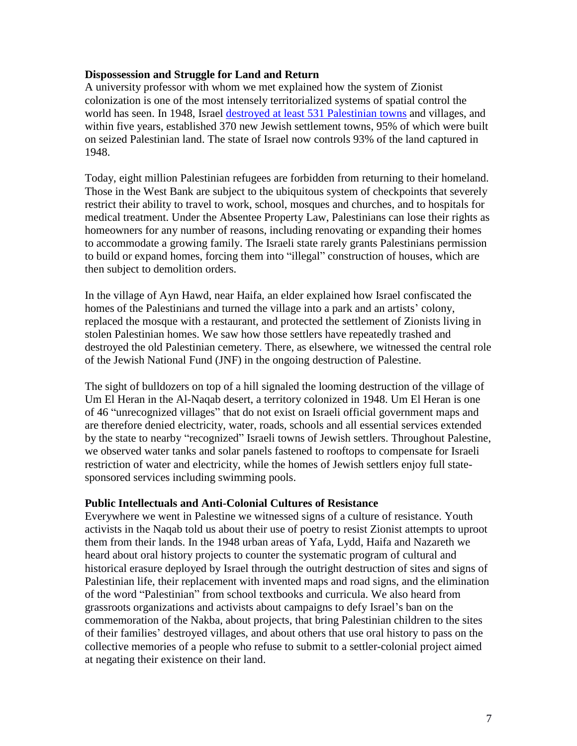## **Dispossession and Struggle for Land and Return**

A university professor with whom we met explained how the system of Zionist colonization is one of the most intensely territorialized systems of spatial control the world has seen. In 1948, Israel destroyed at least 531 [Palestinian](http://zochrot.org/en/site/nakbaMap) towns and villages, and within five years, established 370 new Jewish settlement towns, 95% of which were built on seized Palestinian land. The state of Israel now controls 93% of the land captured in 1948.

Today, eight million Palestinian refugees are forbidden from returning to their homeland. Those in the West Bank are subject to the ubiquitous system of checkpoints that severely restrict their ability to travel to work, school, mosques and churches, and to hospitals for medical treatment. Under the Absentee Property Law, Palestinians can lose their rights as homeowners for any number of reasons, including renovating or expanding their homes to accommodate a growing family. The Israeli state rarely grants Palestinians permission to build or expand homes, forcing them into "illegal" construction of houses, which are then subject to demolition orders.

In the village of Ayn Hawd, near Haifa, an elder explained how Israel confiscated the homes of the Palestinians and turned the village into a park and an artists' colony, replaced the mosque with a restaurant, and protected the settlement of Zionists living in stolen Palestinian homes. We saw how those settlers have repeatedly trashed and destroyed the old Palestinian cemetery. There, as elsewhere, we witnessed the central role of the Jewish National Fund (JNF) in the ongoing destruction of Palestine.

The sight of bulldozers on top of a hill signaled the looming destruction of the village of Um El Heran in the Al-Naqab desert, a territory colonized in 1948. Um El Heran is one of 46 "unrecognized villages" that do not exist on Israeli official government maps and are therefore denied electricity, water, roads, schools and all essential services extended by the state to nearby "recognized" Israeli towns of Jewish settlers. Throughout Palestine, we observed water tanks and solar panels fastened to rooftops to compensate for Israeli restriction of water and electricity, while the homes of Jewish settlers enjoy full statesponsored services including swimming pools.

## **Public Intellectuals and Anti-Colonial Cultures of Resistance**

Everywhere we went in Palestine we witnessed signs of a culture of resistance. Youth activists in the Naqab told us about their use of poetry to resist Zionist attempts to uproot them from their lands. In the 1948 urban areas of Yafa, Lydd, Haifa and Nazareth we heard about oral history projects to counter the systematic program of cultural and historical erasure deployed by Israel through the outright destruction of sites and signs of Palestinian life, their replacement with invented maps and road signs, and the elimination of the word "Palestinian" from school textbooks and curricula. We also heard from grassroots organizations and activists about campaigns to defy Israel's ban on the commemoration of the Nakba, about projects, that bring Palestinian children to the sites of their families' destroyed villages, and about others that use oral history to pass on the collective memories of a people who refuse to submit to a settler-colonial project aimed at negating their existence on their land.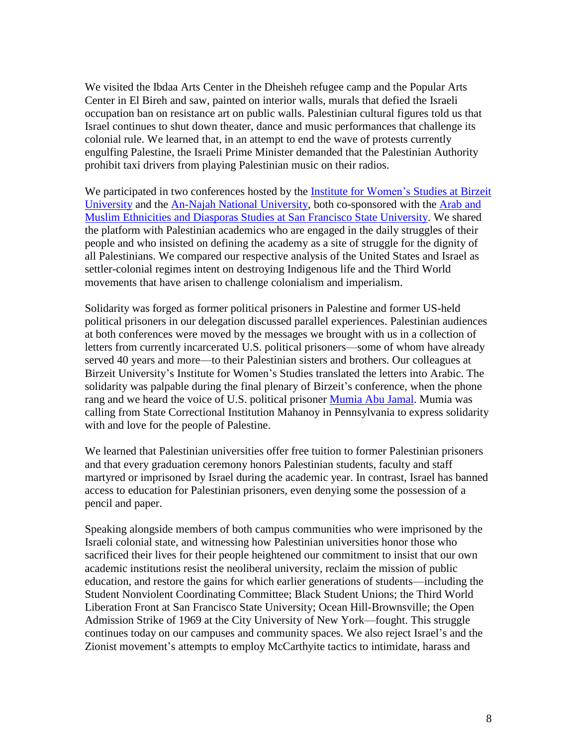We visited the Ibdaa Arts Center in the Dheisheh refugee camp and the Popular Arts Center in El Bireh and saw, painted on interior walls, murals that defied the Israeli occupation ban on resistance art on public walls. Palestinian cultural figures told us that Israel continues to shut down theater, dance and music performances that challenge its colonial rule. We learned that, in an attempt to end the wave of protests currently engulfing Palestine, the Israeli Prime Minister demanded that the Palestinian Authority prohibit taxi drivers from playing Palestinian music on their radios.

We participated in two conferences hosted by the **Institute for [Women's](http://www.birzeit.edu/news/7th-annual-%E2%80%98struggles-freedom%E2%80%99-conference-puts-palestine-international-context) Studies at Birzeit** [University](http://www.birzeit.edu/news/7th-annual-%E2%80%98struggles-freedom%E2%80%99-conference-puts-palestine-international-context) and the An-Najah National [University,](https://www.najah.edu/ar/community/community-news/2016/04/04/lnjh-tstdyf-wrsh-ml-b-nwn-hry-khlf-lqdbn-tjrb-tqly-wndly-mqrn-mn-flstyn-wlwlyt-lmthd-lmryky/) both co-sponsored with the [Arab](http://amed.sfsu.edu/) and Muslim Ethnicities and Diasporas Studies at San Francisco State [University.](http://amed.sfsu.edu/) We shared the platform with Palestinian academics who are engaged in the daily struggles of their people and who insisted on defining the academy as a site of struggle for the dignity of all Palestinians. We compared our respective analysis of the United States and Israel as settler-colonial regimes intent on destroying Indigenous life and the Third World movements that have arisen to challenge colonialism and imperialism.

Solidarity was forged as former political prisoners in Palestine and former US-held political prisoners in our delegation discussed parallel experiences. Palestinian audiences at both conferences were moved by the messages we brought with us in a collection of letters from currently incarcerated U.S. political prisoners—some of whom have already served 40 years and more—to their Palestinian sisters and brothers. Our colleagues at Birzeit University's Institute for Women's Studies translated the letters into Arabic. The solidarity was palpable during the final plenary of Birzeit's conference, when the phone rang and we heard the voice of U.S. political prisoner [Mumia](http://www.bringmumiahome.com/) Abu Jamal. Mumia was calling from State Correctional Institution Mahanoy in Pennsylvania to express solidarity with and love for the people of Palestine.

We learned that Palestinian universities offer free tuition to former Palestinian prisoners and that every graduation ceremony honors Palestinian students, faculty and staff martyred or imprisoned by Israel during the academic year. In contrast, Israel has banned access to education for Palestinian prisoners, even denying some the possession of a pencil and paper.

Speaking alongside members of both campus communities who were imprisoned by the Israeli colonial state, and witnessing how Palestinian universities honor those who sacrificed their lives for their people heightened our commitment to insist that our own academic institutions resist the neoliberal university, reclaim the mission of public education, and restore the gains for which earlier generations of students—including the Student Nonviolent Coordinating Committee; Black Student Unions; the Third World Liberation Front at San Francisco State University; Ocean Hill-Brownsville; the Open Admission Strike of 1969 at the City University of New York—fought. This struggle continues today on our campuses and community spaces. We also reject Israel's and the Zionist movement's attempts to employ McCarthyite tactics to intimidate, harass and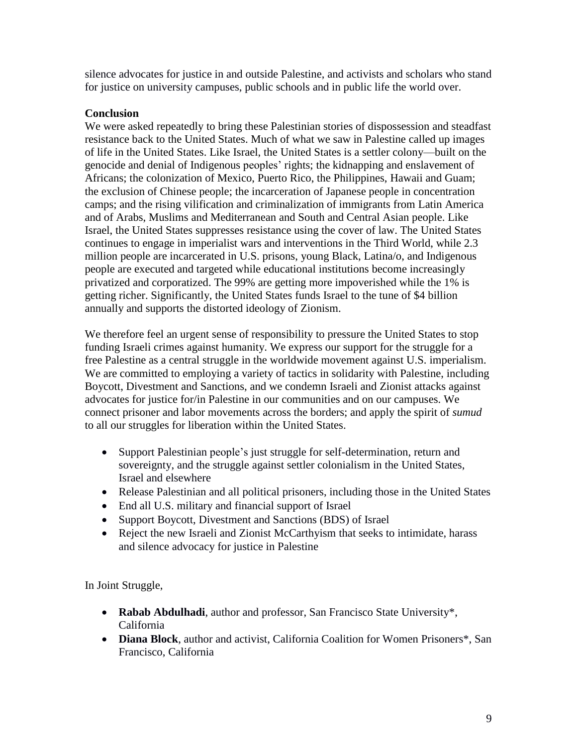silence advocates for justice in and outside Palestine, and activists and scholars who stand for justice on university campuses, public schools and in public life the world over.

## **Conclusion**

We were asked repeatedly to bring these Palestinian stories of dispossession and steadfast resistance back to the United States. Much of what we saw in Palestine called up images of life in the United States. Like Israel, the United States is a settler colony—built on the genocide and denial of Indigenous peoples' rights; the kidnapping and enslavement of Africans; the colonization of Mexico, Puerto Rico, the Philippines, Hawaii and Guam; the exclusion of Chinese people; the incarceration of Japanese people in concentration camps; and the rising vilification and criminalization of immigrants from Latin America and of Arabs, Muslims and Mediterranean and South and Central Asian people. Like Israel, the United States suppresses resistance using the cover of law. The United States continues to engage in imperialist wars and interventions in the Third World, while 2.3 million people are incarcerated in U.S. prisons, young Black, Latina/o, and Indigenous people are executed and targeted while educational institutions become increasingly privatized and corporatized. The 99% are getting more impoverished while the 1% is getting richer. Significantly, the United States funds Israel to the tune of \$4 billion annually and supports the distorted ideology of Zionism.

We therefore feel an urgent sense of responsibility to pressure the United States to stop funding Israeli crimes against humanity. We express our support for the struggle for a free Palestine as a central struggle in the worldwide movement against U.S. imperialism. We are committed to employing a variety of tactics in solidarity with Palestine, including Boycott, Divestment and Sanctions, and we condemn Israeli and Zionist attacks against advocates for justice for/in Palestine in our communities and on our campuses. We connect prisoner and labor movements across the borders; and apply the spirit of *sumud* to all our struggles for liberation within the United States.

- Support Palestinian people's just struggle for self-determination, return and sovereignty, and the struggle against settler colonialism in the United States, Israel and elsewhere
- Release Palestinian and all political prisoners, including those in the United States
- End all U.S. military and financial support of Israel
- Support Boycott, Divestment and Sanctions (BDS) of Israel
- Reject the new Israeli and Zionist McCarthyism that seeks to intimidate, harass and silence advocacy for justice in Palestine

In Joint Struggle,

- **Rabab Abdulhadi**, author and professor, San Francisco State University\*, California
- **Diana Block**, author and activist, California Coalition for Women Prisoners\*, San Francisco, California